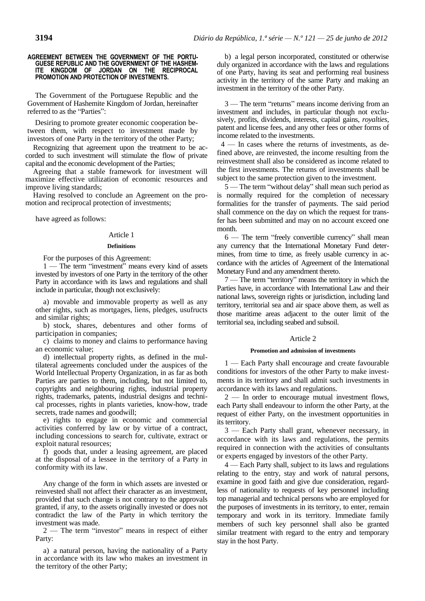#### **AGREEMENT BETWEEN THE GOVERNMENT OF THE PORTU-GUESE REPUBLIC AND THE GOVERNMENT OF THE HASHEM-ITE KINGDOM OF JORDAN ON THE RECIPROCAL PROMOTION AND PROTECTION OF INVESTMENTS.**

The Government of the Portuguese Republic and the Government of Hashemite Kingdom of Jordan, hereinafter referred to as the "Parties":

Desiring to promote greater economic cooperation between them, with respect to investment made by investors of one Party in the territory of the other Party;

Recognizing that agreement upon the treatment to be accorded to such investment will stimulate the flow of private capital and the economic development of the Parties;

Agreeing that a stable framework for investment will maximize effective utilization of economic resources and improve living standards;

Having resolved to conclude an Agreement on the promotion and reciprocal protection of investments;

have agreed as follows:

### Article 1

### **Definitions**

For the purposes of this Agreement:

1 — The term "investment" means every kind of assets invested by investors of one Party in the territory of the other Party in accordance with its laws and regulations and shall include in particular, though not exclusively:

a) movable and immovable property as well as any other rights, such as mortgages, liens, pledges, usufructs and similar rights;

b) stock, shares, debentures and other forms of participation in companies;

c) claims to money and claims to performance having an economic value;

d) intellectual property rights, as defined in the multilateral agreements concluded under the auspices of the World Intellectual Property Organization, in as far as both Parties are parties to them, including, but not limited to, copyrights and neighbouring rights, industrial property rights, trademarks, patents, industrial designs and technical processes, rights in plants varieties, know-how, trade secrets, trade names and goodwill;

e) rights to engage in economic and commercial activities conferred by law or by virtue of a contract, including concessions to search for, cultivate, extract or exploit natural resources;

f) goods that, under a leasing agreement, are placed at the disposal of a lessee in the territory of a Party in conformity with its law.

Any change of the form in which assets are invested or reinvested shall not affect their character as an investment, provided that such change is not contrary to the approvals granted, if any, to the assets originally invested or does not contradict the law of the Party in which territory the investment was made.

2 — The term "investor" means in respect of either Party:

a) a natural person, having the nationality of a Party in accordance with its law who makes an investment in the territory of the other Party;

b) a legal person incorporated, constituted or otherwise duly organized in accordance with the laws and regulations of one Party, having its seat and performing real business activity in the territory of the same Party and making an investment in the territory of the other Party.

3 — The term "returns" means income deriving from an investment and includes, in particular though not exclusively, profits, dividends, interests, capital gains, *royalties*, patent and license fees, and any other fees or other forms of income related to the investments.

 4 — In cases where the returns of investments, as defined above, are reinvested, the income resulting from the reinvestment shall also be considered as income related to the first investments. The returns of investments shall be subject to the same protection given to the investment.

5 — The term "without delay" shall mean such period as is normally required for the completion of necessary formalities for the transfer of payments. The said period shall commence on the day on which the request for transfer has been submitted and may on no account exceed one month.

6 — The term "freely convertible currency" shall mean any currency that the International Monetary Fund determines, from time to time, as freely usable currency in accordance with the articles of Agreement of the International Monetary Fund and any amendment thereto.

7 — The term "territory" means the territory in which the Parties have, in accordance with International Law and their national laws, sovereign rights or jurisdiction, including land territory, territorial sea and air space above them, as well as those maritime areas adjacent to the outer limit of the territorial sea, including seabed and subsoil.

## Article 2

# **Promotion and admission of investments**

1 — Each Party shall encourage and create favourable conditions for investors of the other Party to make investments in its territory and shall admit such investments in accordance with its laws and regulations.

2 — In order to encourage mutual investment flows, each Party shall endeavour to inform the other Party, at the request of either Party, on the investment opportunities in its territory.

3 — Each Party shall grant, whenever necessary, in accordance with its laws and regulations, the permits required in connection with the activities of consultants or experts engaged by investors of the other Party.

4 — Each Party shall, subject to its laws and regulations relating to the entry, stay and work of natural persons, examine in good faith and give due consideration, regardless of nationality to requests of key personnel including top managerial and technical persons who are employed for the purposes of investments in its territory, to enter, remain temporary and work in its territory. Immediate family members of such key personnel shall also be granted similar treatment with regard to the entry and temporary stay in the host Party.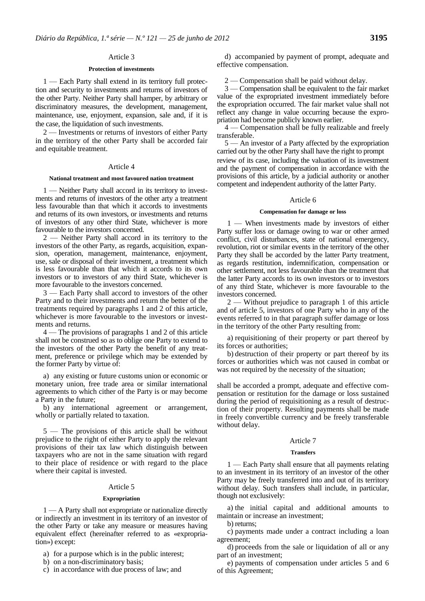### Article 3

#### **Protection of investments**

1 — Each Party shall extend in its territory full protection and security to investments and returns of investors of the other Party. Neither Party shall hamper, by arbitrary or discriminatory measures, the development, management, maintenance, use, enjoyment, expansion, sale and, if it is the case, the liquidation of such investments.

2 — Investments or returns of investors of either Party in the territory of the other Party shall be accorded fair and equitable treatment.

### Article 4

# **National treatment and most favoured nation treatment**

1 — Neither Party shall accord in its territory to investments and returns of investors of the other arty a treatment less favourable than that which it accords to investments and returns of its own investors, or investments and returns of investors of any other third State, whichever is more favourable to the investors concerned.

2 — Neither Party shall accord in its territory to the investors of the other Party, as regards, acquisition, expansion, operation, management, maintenance, enjoyment, use, sale or disposal of their investment, a treatment which is less favourable than that which it accords to its own investors or to investors of any third State, whichever is more favourable to the investors concerned.

3 — Each Party shall accord to investors of the other Party and to their investments and return the better of the treatments required by paragraphs 1 and 2 of this article, whichever is more favourable to the investors or investments and returns.

4 — The provisions of paragraphs 1 and 2 of this article shall not be construed so as to oblige one Party to extend to the investors of the other Party the benefit of any treatment, preference or privilege which may be extended by the former Party by virtue of:

a) any existing or future customs union or economic or monetary union, free trade area or similar international agreements to which cither of the Party is or may become a Party in the future;

b) any international agreement or arrangement, wholly or partially related to taxation.

5 — The provisions of this article shall be without prejudice to the right of either Party to apply the relevant provisions of their tax law which distinguish between taxpayers who are not in the same situation with regard to their place of residence or with regard to the place where their capital is invested.

### Article 5

#### **Expropriation**

1 — A Party shall not expropriate or nationalize directly or indirectly an investment in its territory of an investor of the other Party or take any measure or measures having equivalent effect (hereinafter referred to as «expropriation») except:

- a) for a purpose which is in the public interest;
- b) on a non-discriminatory basis;
- c) in accordance with due process of law; and

d) accompanied by payment of prompt, adequate and effective compensation.

2 — Compensation shall be paid without delay.

3 — Compensation shall be equivalent to the fair market value of the expropriated investment immediately before the expropriation occurred. The fair market value shall not reflect any change in value occurring because the expropriation had become publicly known earlier.

4 — Compensation shall be fully realizable and freely transferable.

5 — An investor of a Party affected by the expropriation carried out by the other Party shall have the right to prompt review of its case, including the valuation of its investment and the payment of compensation in accordance with the provisions of this article, by a judicial authority or another competent and independent authority of the latter Party.

#### Article 6

#### **Compensation for damage or loss**

1 — When investments made by investors of either Party suffer loss or damage owing to war or other armed conflict, civil disturbances, state of national emergency, revolution, riot or similar events in the territory of the other Party they shall be accorded by the latter Party treatment, as regards restitution, indemnification, compensation or other settlement, not less favourable than the treatment that the latter Party accords to its own investors or to investors of any third State, whichever is more favourable to the investors concerned.

2 — Without prejudice to paragraph 1 of this article and of article 5, investors of one Party who in any of the events referred to in that paragraph suffer damage or loss in the territory of the other Party resulting from:

a) requisitioning of their property or part thereof by its forces or authorities;

b) destruction of their property or part thereof by its forces or authorities which was not caused in combat or was not required by the necessity of the situation;

shall be accorded a prompt, adequate and effective compensation or restitution for the damage or loss sustained during the period of requisitioning as a result of destruction of their property. Resulting payments shall be made in freely convertible currency and be freely transferable without delay.

# Article 7

#### **Transfers**

1 — Each Party shall ensure that all payments relating to an investment in its territory of an investor of the other Party may be freely transferred into and out of its territory without delay. Such transfers shall include, in particular, though not exclusively:

a) the initial capital and additional amounts to maintain or increase an investment;

b) returns;

c) payments made under a contract including a loan agreement;

d) proceeds from the sale or liquidation of all or any part of an investment;

e) payments of compensation under articles 5 and 6 of this Agreement;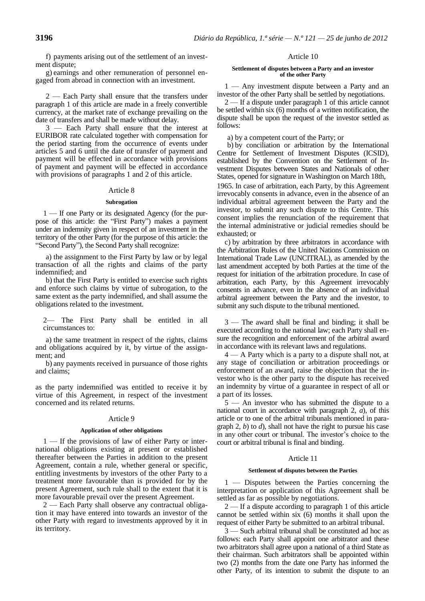f) payments arising out of the settlement of an investment dispute;

g) earnings and other remuneration of personnel engaged from abroad in connection with an investment.

2 — Each Party shall ensure that the transfers under paragraph 1 of this article are made in a freely convertible currency, at the market rate of exchange prevailing on the date of transfers and shall be made without delay.

3 — Each Party shall ensure that the interest at EURIBOR rate calculated together with compensation for the period starting from the occurrence of events under articles 5 and 6 until the date of transfer of payment and payment will be effected in accordance with provisions of payment and payment will be effected in accordance with provisions of paragraphs 1 and 2 of this article.

# Article 8

# **Subrogation**

1 — If one Party or its designated Agency (for the purpose of this article: the "First Party") makes a payment under an indemnity given in respect of an investment in the territory of the other Party (for the purpose of this article: the "Second Party"), the Second Party shall recognize:

a) the assignment to the First Party by law or by legal transaction of all the rights and claims of the party indemnified; and

b) that the First Party is entitled to exercise such rights and enforce such claims by virtue of subrogation, to the same extent as the party indemnified, and shall assume the obligations related to the investment.

2— The First Party shall be entitled in all circumstances to:

a) the same treatment in respect of the rights, claims and obligations acquired by it, by virtue of the assignment; and

b) any payments received in pursuance of those rights and claims;

as the party indemnified was entitled to receive it by virtue of this Agreement, in respect of the investment concerned and its related returns.

# Article 9

## **Application of other obligations**

1 — If the provisions of law of either Party or international obligations existing at present or established thereafter between the Parties in addition to the present Agreement, contain a rule, whether general or specific, entitling investments by investors of the other Party to a treatment more favourable than is provided for by the present Agreement, such rule shall to the extent that it is more favourable prevail over the present Agreement.

2 — Each Party shall observe any contractual obligation it may have entered into towards an investor of the other Party with regard to investments approved by it in its territory.

# Article 10

#### **Settlement of disputes between a Party and an investor of the other Party**

1 — Any investment dispute between a Party and an investor of the other Party shall be settled by negotiations.

2 — If a dispute under paragraph 1 of this article cannot be settled within six (6) months of a written notification, the dispute shall be upon the request of the investor settled as follows:

a) by a competent court of the Party; or

b) by conciliation or arbitration by the International Centre for Settlement of Investment Disputes (ICSID), established by the Convention on the Settlement of Investment Disputes between States and Nationals of other States, opened for signature in Washington on March 18th,

1965. In case of arbitration, each Party, by this Agreement irrevocably consents in advance, even in the absence of an individual arbitral agreement between the Party and the investor, to submit any such dispute to this Centre. This consent implies the renunciation of the requirement that the internal administrative or judicial remedies should be exhausted; or

c) by arbitration by three arbitrators in accordance with the Arbitration Rules of the United Nations Commission on International Trade Law (UNCITRAL), as amended by the last amendment accepted by both Parties at the time of the request for initiation of the arbitration procedure. In case of arbitration, each Party, by this Agreement irrevocably consents in advance, even in the absence of an individual arbitral agreement between the Party and the investor, to submit any such dispute to the tribunal mentioned.

3 — The award shall be final and binding; it shall be executed according to the national law; each Party shall ensure the recognition and enforcement of the arbitral award in accordance with its relevant laws and regulations.

4 — A Party which is a party to a dispute shall not, at any stage of conciliation or arbitration proceedings or enforcement of an award, raise the objection that the investor who is the other party to the dispute has received an indemnity by virtue of a guarantee in respect of all or a part of its losses.

5 — An investor who has submitted the dispute to a national court in accordance with paragraph 2, *a*), of this article or to one of the arbitral tribunals mentioned in paragraph 2, *b*) to *d*), shall not have the right to pursue his case in any other court or tribunal. The investor's choice to the court or arbitral tribunal is final and binding.

# Article 11

### **Settlement of disputes between the Parties**

1 — Disputes between the Parties concerning the interpretation or application of this Agreement shall be settled as far as possible by negotiations.

2 — If a dispute according to paragraph 1 of this article cannot be settled within six (6) months it shall upon the request of either Party be submitted to an arbitral tribunal.

3 — Such arbitral tribunal shall be constituted ad hoc as follows: each Party shall appoint one arbitrator and these two arbitrators shall agree upon a national of a third State as their chairman. Such arbitrators shall be appointed within two (2) months from the date one Party has informed the other Party, of its intention to submit the dispute to an